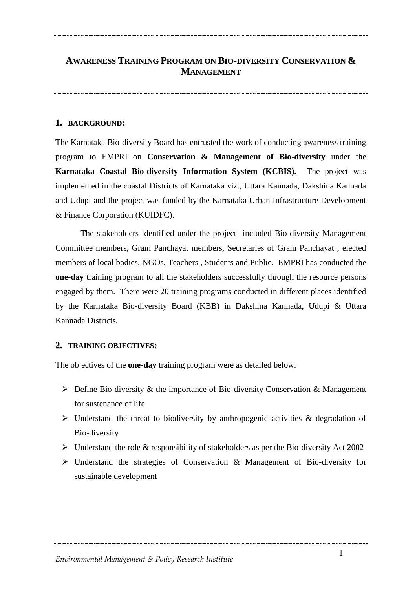## **AWARENESS TRAINING PROGRAM ON BIO-DIVERSITY CONSERVATION & MANAGEMENT**

#### **1. BACKGROUND:**

The Karnataka Bio-diversity Board has entrusted the work of conducting awareness training program to EMPRI on **Conservation & Management of Bio-diversity** under the **Karnataka Coastal Bio-diversity Information System (KCBIS).** The project was implemented in the coastal Districts of Karnataka viz., Uttara Kannada, Dakshina Kannada and Udupi and the project was funded by the Karnataka Urban Infrastructure Development & Finance Corporation (KUIDFC).

The stakeholders identified under the project included Bio-diversity Management Committee members, Gram Panchayat members, Secretaries of Gram Panchayat , elected members of local bodies, NGOs, Teachers , Students and Public. EMPRI has conducted the **one-day** training program to all the stakeholders successfully through the resource persons engaged by them. There were 20 training programs conducted in different places identified by the Karnataka Bio-diversity Board (KBB) in Dakshina Kannada, Udupi & Uttara Kannada Districts.

#### **2. TRAINING OBJECTIVES:**

The objectives of the **one-day** training program were as detailed below.

- $\triangleright$  Define Bio-diversity & the importance of Bio-diversity Conservation & Management for sustenance of life
- $\triangleright$  Understand the threat to biodiversity by anthropogenic activities & degradation of Bio-diversity
- $\triangleright$  Understand the role & responsibility of stakeholders as per the Bio-diversity Act 2002
- Understand the strategies of Conservation & Management of Bio-diversity for sustainable development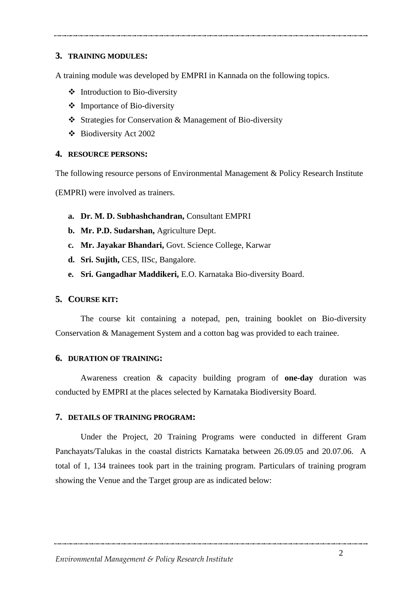#### **3. TRAINING MODULES:**

A training module was developed by EMPRI in Kannada on the following topics.

- $\triangleleft$  Introduction to Bio-diversity
- Importance of Bio-diversity
- Strategies for Conservation & Management of Bio-diversity
- Biodiversity Act 2002

#### **4. RESOURCE PERSONS:**

The following resource persons of Environmental Management & Policy Research Institute

(EMPRI) were involved as trainers.

- **a. Dr. M. D. Subhashchandran,** Consultant EMPRI
- **b. Mr. P.D. Sudarshan,** Agriculture Dept.
- **c. Mr. Jayakar Bhandari,** Govt. Science College, Karwar
- **d. Sri. Sujith,** CES, IISc, Bangalore.
- **e. Sri. Gangadhar Maddikeri,** E.O. Karnataka Bio-diversity Board.

#### **5. COURSE KIT:**

The course kit containing a notepad, pen, training booklet on Bio-diversity Conservation & Management System and a cotton bag was provided to each trainee.

#### **6. DURATION OF TRAINING:**

Awareness creation & capacity building program of **one-day** duration was conducted by EMPRI at the places selected by Karnataka Biodiversity Board.

#### **7. 7. DETAILS OF TRAINING PROGRAM:**

Under the Project, 20 Training Programs were conducted in different Gram Panchayats/Talukas in the coastal districts Karnataka between 26.09.05 and 20.07.06. A total of 1, 134 trainees took part in the training program. Particulars of training program showing the Venue and the Target group are as indicated below: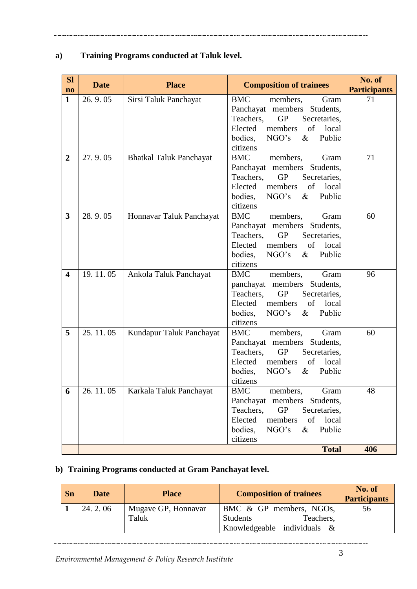## **a) Training Programs conducted at Taluk level.**

| <b>Sl</b><br>$\mathbf{n}\mathbf{o}$ | <b>Date</b> | <b>Place</b>                   | <b>Composition of trainees</b>                                                                                                                                                                    | No. of<br><b>Participants</b> |
|-------------------------------------|-------------|--------------------------------|---------------------------------------------------------------------------------------------------------------------------------------------------------------------------------------------------|-------------------------------|
| $\mathbf{1}$                        | 26.9.05     | Sirsi Taluk Panchayat          | <b>BMC</b><br>members,<br>Gram<br>Panchayat members Students,<br>Teachers,<br><b>GP</b><br>Secretaries,<br>Elected<br>members<br>of<br>local<br>NGO's<br>Public<br>bodies,<br>$\&$<br>citizens    | 71                            |
| $\overline{2}$                      | 27.9.05     | <b>Bhatkal Taluk Panchayat</b> | <b>BMC</b><br>members,<br>Gram<br>Panchayat members Students,<br>Teachers,<br><b>GP</b><br>Secretaries,<br>Elected<br>of<br>members<br>local<br>NGO's<br>bodies,<br>$\&$<br>Public<br>citizens    | 71                            |
| 3                                   | 28.9.05     | Honnavar Taluk Panchayat       | <b>BMC</b><br>members,<br>Gram<br>Panchayat members Students,<br>Teachers,<br><b>GP</b><br>Secretaries,<br>of<br>Elected<br>members<br>local<br>bodies,<br>NGO's<br>$\&$<br>Public<br>citizens    | 60                            |
| $\overline{\mathbf{4}}$             | 19.11.05    | Ankola Taluk Panchayat         | <b>BMC</b><br>members,<br>Gram<br>panchayat members Students,<br>Teachers,<br><b>GP</b><br>Secretaries,<br>of<br>Elected<br>members<br>local<br>bodies,<br>NGO's<br>$\&$<br>Public<br>citizens    | 96                            |
| 5                                   | 25.11.05    | Kundapur Taluk Panchayat       | <b>BMC</b><br>members,<br>Gram<br>Panchayat members Students,<br>Teachers,<br><b>GP</b><br>Secretaries,<br>Elected<br>members<br>of<br>local<br>bodies,<br>NGO's<br>$\&$<br>Public<br>citizens    | 60                            |
| 6                                   | 26.11.05    | Karkala Taluk Panchayat        | <b>BMC</b><br>members,<br>Gram<br>Panchayat members<br>Students,<br><b>GP</b><br>Teachers,<br>Secretaries,<br>of<br>Elected<br>members<br>local<br>bodies,<br>Public<br>NGO's<br>$\&$<br>citizens | 48                            |
|                                     |             |                                | <b>Total</b>                                                                                                                                                                                      | 406                           |

## **b) Training Programs conducted at Gram Panchayat level.**

| Sn | <b>Date</b> | <b>Place</b>        | <b>Composition of trainees</b> | No. of<br><b>Participants</b> |
|----|-------------|---------------------|--------------------------------|-------------------------------|
|    | 24.2.06     | Mugave GP, Honnavar | BMC & GP members, NGOs,        | 56                            |
|    |             | Taluk               | Teachers,<br><b>Students</b>   |                               |
|    |             |                     | Knowledgeable individuals &    |                               |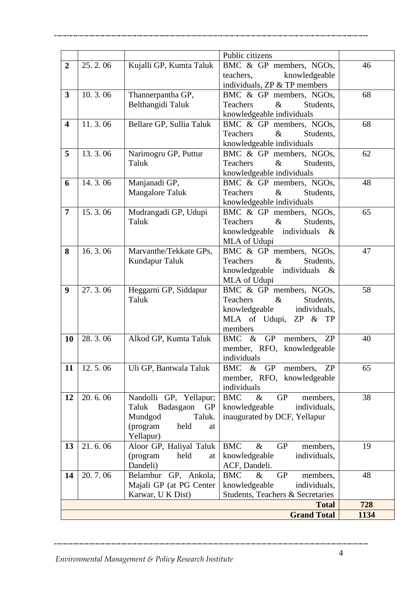|                         |                         |                                     | Public citizens                             |      |
|-------------------------|-------------------------|-------------------------------------|---------------------------------------------|------|
| $\overline{2}$          | 25.2.06                 | Kujalli GP, Kumta Taluk             | BMC & GP members, NGOs,                     | 46   |
|                         |                         |                                     | teachers,<br>knowledgeable                  |      |
|                         |                         |                                     | individuals, ZP & TP members                |      |
| $\overline{\mathbf{3}}$ | 10.3.06                 | Thannerpantha GP,                   | BMC & GP members, NGOs,                     | 68   |
|                         |                         | Belthangidi Taluk                   | $\&$<br>Teachers<br>Students,               |      |
|                         |                         |                                     | knowledgeable individuals                   |      |
| $\overline{\mathbf{4}}$ | 11.3.06                 | Bellare GP, Sullia Taluk            | BMC & GP members, NGOs,                     | 68   |
|                         |                         |                                     | Teachers<br>$\&$<br>Students,               |      |
|                         |                         |                                     | knowledgeable individuals                   |      |
| 5                       | 13.3.06                 | Narimogru GP, Puttur                | BMC & GP members, NGOs,                     | 62   |
|                         |                         | Taluk                               | $\&$<br>Teachers<br>Students,               |      |
|                         |                         |                                     | knowledgeable individuals                   |      |
| 6                       | 14.3.06                 | Manjanadi GP,                       | BMC & GP members, NGOs,                     | 48   |
|                         |                         | <b>Mangalore Taluk</b>              | $\&$<br>Teachers<br>Students,               |      |
|                         |                         |                                     | knowledgeable individuals                   |      |
| $\overline{7}$          | 15.3.06                 | Mudrangadi GP, Udupi                | BMC & GP members, NGOs,                     | 65   |
|                         |                         | Taluk                               | $\&$<br>Teachers<br>Students,               |      |
|                         |                         |                                     | knowledgeable individuals<br>$\&$           |      |
|                         |                         |                                     | MLA of Udupi                                |      |
| 8                       | $\overline{16}$ . 3. 06 | Marvanthe/Tekkate GPs,              | BMC & GP members, NGOs,                     | 47   |
|                         |                         | Kundapur Taluk                      | $\&$<br>Teachers<br>Students,               |      |
|                         |                         |                                     | knowledgeable individuals<br>$\&$           |      |
|                         |                         |                                     | MLA of Udupi                                |      |
| 9                       | 27.3.06                 | Heggarni GP, Siddapur               | BMC & GP members, NGOs,                     | 58   |
|                         |                         | Taluk                               | Teachers<br>$\&$<br>Students,               |      |
|                         |                         |                                     | knowledgeable<br>individuals,               |      |
|                         |                         |                                     | MLA of Udupi,<br>ZP & TP                    |      |
|                         |                         |                                     | members                                     |      |
| 10                      | 28.3.06                 | Alkod GP, Kumta Taluk               | BMC & GP<br>members,<br>ZP                  | 40   |
|                         |                         |                                     | member, RFO, knowledgeable                  |      |
|                         |                         |                                     | individuals                                 |      |
| 11                      | 12.5.06                 | Uli GP, Bantwala Taluk              | & GP<br>BMC<br>ZP<br>members,               | 65   |
|                         |                         |                                     | member, RFO, knowledgeable                  |      |
|                         |                         |                                     | individuals                                 |      |
| 12                      | 20.6.06                 | Nandolli GP, Yellapur;              | <b>GP</b><br><b>BMC</b><br>$\&$<br>members, | 38   |
|                         |                         | Badasgaon<br>Taluk<br><b>GP</b>     | knowledgeable<br>individuals,               |      |
|                         |                         | Mundgod<br>Taluk.                   | inaugurated by DCF, Yellapur                |      |
|                         |                         | (program<br>held<br>at<br>Yellapur) |                                             |      |
| 13                      | 21.6.06                 | Aloor GP, Haliyal Taluk             | <b>BMC</b><br>$\&$<br><b>GP</b><br>members, | 19   |
|                         |                         | (program<br>held<br>at              | knowledgeable<br>individuals,               |      |
|                         |                         | Dandeli)                            | ACF, Dandeli.                               |      |
| 14                      | 20.7.06                 | GP, Ankola,<br>Belambur             | <b>BMC</b><br>$\&$<br><b>GP</b><br>members, | 48   |
|                         |                         | Majali GP (at PG Center             | knowledgeable<br>individuals,               |      |
|                         |                         | Karwar, U K Dist)                   | Students, Teachers & Secretaries            |      |
|                         |                         |                                     | <b>Total</b>                                | 728  |
|                         |                         |                                     | <b>Grand Total</b>                          | 1134 |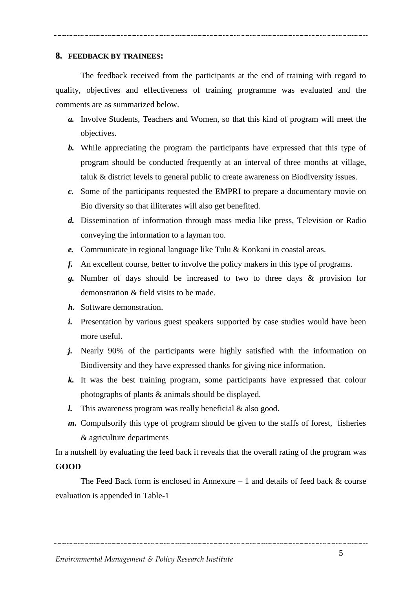#### **8. 8. FEEDBACK BY TRAINEES:**

The feedback received from the participants at the end of training with regard to quality, objectives and effectiveness of training programme was evaluated and the comments are as summarized below.

- *a.* Involve Students, Teachers and Women, so that this kind of program will meet the objectives.
- *b.* While appreciating the program the participants have expressed that this type of program should be conducted frequently at an interval of three months at village, taluk & district levels to general public to create awareness on Biodiversity issues.
- *c.* Some of the participants requested the EMPRI to prepare a documentary movie on Bio diversity so that illiterates will also get benefited.
- *d.* Dissemination of information through mass media like press, Television or Radio conveying the information to a layman too.
- *e.* Communicate in regional language like Tulu & Konkani in coastal areas.
- *f.* An excellent course, better to involve the policy makers in this type of programs.
- *g.* Number of days should be increased to two to three days & provision for demonstration & field visits to be made.
- *h.* Software demonstration.
- *i.* Presentation by various guest speakers supported by case studies would have been more useful.
- *j.* Nearly 90% of the participants were highly satisfied with the information on Biodiversity and they have expressed thanks for giving nice information.
- *k.* It was the best training program, some participants have expressed that colour photographs of plants & animals should be displayed.
- *l.* This awareness program was really beneficial & also good.
- *m.* Compulsorily this type of program should be given to the staffs of forest, fisheries & agriculture departments

In a nutshell by evaluating the feed back it reveals that the overall rating of the program was **GOOD**

The Feed Back form is enclosed in Annexure  $-1$  and details of feed back  $\&$  course evaluation is appended in Table-1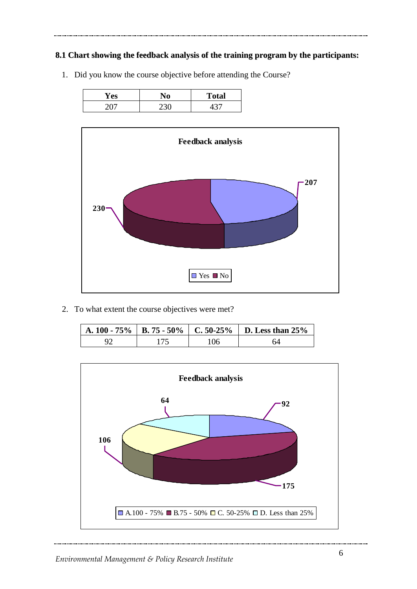### **8.1 Chart showing the feedback analysis of the training program by the participants:**

| Y es | <b>Total</b> |
|------|--------------|
|      |              |

1. Did you know the course objective before attending the Course?



2. To what extent the course objectives were met?

|  | A. 100 - 75%   B. 75 - 50%   C. 50-25%   D. Less than 25% |
|--|-----------------------------------------------------------|
|  |                                                           |

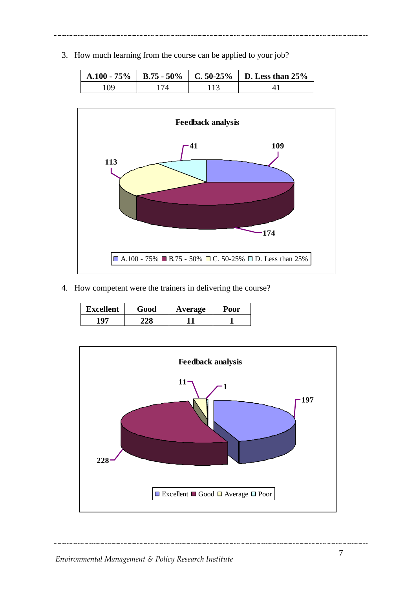3. How much learning from the course can be applied to your job?

| $A.100 - 75\%$ |  | B.75 - 50%   C.50-25%   D. Less than 25% |
|----------------|--|------------------------------------------|
| 09             |  |                                          |



4. How competent were the trainers in delivering the course?

| <b>Excellent</b> | Good | Average | Poor |
|------------------|------|---------|------|
| 107              |      |         |      |

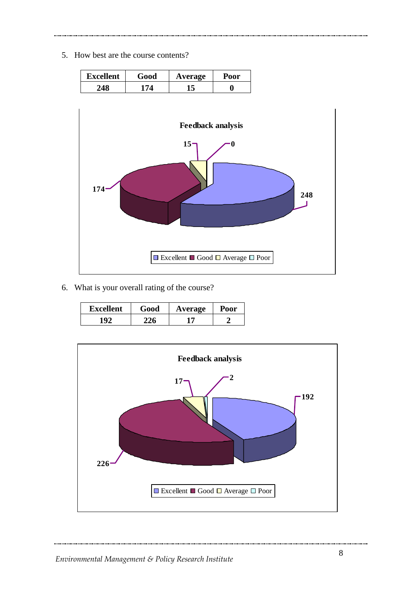5. How best are the course contents?



6. What is your overall rating of the course?

| <b>Excellent</b> | Good | Average | Poor |
|------------------|------|---------|------|
| 102              |      | n       |      |

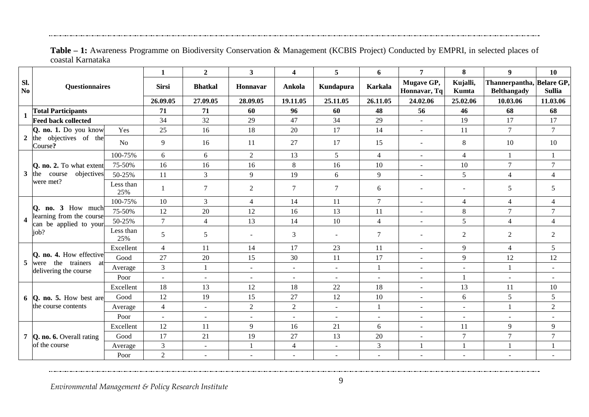|                       |                                                                                 |                    | 1              | $\boldsymbol{2}$         | $3^{\circ}$              | $\overline{\mathbf{4}}$  | 5                        | 6                        |                            | 8                        | 9                                               | 10                                                                            |
|-----------------------|---------------------------------------------------------------------------------|--------------------|----------------|--------------------------|--------------------------|--------------------------|--------------------------|--------------------------|----------------------------|--------------------------|-------------------------------------------------|-------------------------------------------------------------------------------|
| Sl.<br>No             | <b>Questionnaires</b>                                                           |                    | <b>Sirsi</b>   | <b>Bhatkal</b>           | <b>Honnavar</b>          | Ankola                   | Kundapura                | <b>Karkala</b>           | Mugave GP,<br>Honnavar, Tq | Kujalli,<br>Kumta        | Thannerpantha, Belare GP,<br><b>Belthangady</b> | <b>Sullia</b>                                                                 |
|                       |                                                                                 |                    | 26.09.05       | 27.09.05                 | 28.09.05                 | 19.11.05                 | 25.11.05                 | 26.11.05                 | 24.02.06                   | 25.02.06                 | 10.03.06                                        | 11.03.06                                                                      |
| 1                     | <b>Total Participants</b><br><b>Feed back collected</b>                         |                    | 71             | 71                       | 60                       | 96                       | 60                       | 48                       | 56                         | 46                       | 68                                              | 68                                                                            |
|                       |                                                                                 |                    | 34             | 32                       | 29                       | 47                       | 34                       | 29                       | $\overline{\phantom{a}}$   | 19                       | 17                                              | 17                                                                            |
| $\mathbf{2}$          | Q. no. 1. Do you know                                                           | Yes                | 25             | 16                       | 18                       | 20                       | 17                       | 14                       | $\sim$                     | 11                       | $\tau$                                          | $\overline{7}$                                                                |
|                       | the objectives of the<br>Course?                                                | $\overline{N_{O}}$ | 9              | 16                       | 11                       | 27                       | 17                       | 15                       | $\overline{\phantom{a}}$   | 8                        | 10                                              | 10                                                                            |
|                       |                                                                                 | 100-75%            | 6              | 6                        | $\overline{2}$           | 13                       | 5 <sup>5</sup>           | $\overline{4}$           | $\sim$                     | $\overline{4}$           | $\mathbf{1}$                                    | 1                                                                             |
|                       | Q. no. 2. To what extent                                                        | 75-50%             | 16             | 16                       | 16                       | 8                        | 16                       | 10                       | $\sim$                     | 10                       | $\tau$                                          | $\overline{7}$                                                                |
|                       | $3$ the<br>objectives<br>course                                                 | 50-25%             | 11             | $\overline{3}$           | 9                        | 19                       | 6                        | 9                        | $\overline{\phantom{a}}$   | 5                        | $\overline{4}$                                  | $\overline{4}$                                                                |
|                       | were met?                                                                       | Less than<br>25%   | 1              | $\tau$                   | $\overline{2}$           | $\tau$                   | $\tau$                   | 6                        | $\sim$                     | $\blacksquare$           | 5                                               | 5                                                                             |
|                       |                                                                                 | 100-75%            | 10             | $\overline{3}$           | $\overline{4}$           | 14                       | 11                       | $\overline{7}$           | $\blacksquare$             | $\overline{4}$           | $\overline{4}$                                  | 4                                                                             |
|                       | Q. no. 3 How much<br>learning from the course<br>can be applied to your<br>job? | 75-50%             | 12             | 20                       | 12                       | 16                       | 13                       | 11                       | $\sim$                     | 8                        | $\overline{7}$                                  | $\overline{7}$                                                                |
| $\boldsymbol{\Delta}$ |                                                                                 | 50-25%             | $\tau$         | $\overline{4}$           | 13                       | 14                       | 10                       | $\overline{4}$           | $\overline{a}$             | 5                        | $\overline{4}$                                  | $\overline{4}$                                                                |
|                       |                                                                                 | Less than<br>25%   | 5              | 5                        | $\sim$                   | 3                        |                          | 7                        | $\blacksquare$             | 2                        | $\overline{2}$                                  | $\overline{2}$                                                                |
|                       |                                                                                 | Excellent          | $\overline{4}$ | 11                       | 14                       | 17                       | 23                       | 11                       | $\sim$                     | 9                        | $\overline{4}$                                  | 5                                                                             |
| 5                     | <b>Q.</b> no. 4. How effective<br>the trainers at<br>were                       | Good               | 27             | 20                       | 15                       | 30                       | 11                       | 17                       | $\overline{\phantom{a}}$   | 9                        | 12                                              | 12<br>$\sim$<br>$\sim$<br>10<br>5<br>2<br>9<br>$\overline{7}$<br>$\mathbf{1}$ |
|                       | delivering the course                                                           | Average            | $\overline{3}$ | $\mathbf{1}$             | $\overline{a}$           | $\mathbf{r}$             | ÷.                       | 1                        | $\sim$                     | $\overline{a}$           | $\mathbf{1}$                                    |                                                                               |
|                       |                                                                                 | Poor               | $\sim$         | $\overline{\phantom{a}}$ | $\overline{\phantom{a}}$ | $\mathbf{r}$             | $\overline{a}$           | $\overline{a}$           | $\blacksquare$             | 1                        | $\overline{a}$                                  |                                                                               |
|                       |                                                                                 | Excellent          | 18             | 13                       | 12                       | 18                       | 22                       | 18                       | $\blacksquare$             | 13                       | 11                                              |                                                                               |
|                       | $6$ Q. no. 5. How best are                                                      | Good               | 12             | 19                       | 15                       | 27                       | 12                       | 10                       | $\overline{\phantom{a}}$   | 6                        | 5                                               |                                                                               |
|                       | the course contents                                                             | Average            | $\overline{4}$ | $\sim$                   | $\overline{2}$           | $\overline{2}$           | $\overline{a}$           | 1                        | $\overline{\phantom{a}}$   | $\blacksquare$           | $\mathbf{1}$                                    |                                                                               |
|                       |                                                                                 | Poor               | $\sim$         | $\overline{\phantom{a}}$ |                          | $\overline{\phantom{a}}$ | $\sim$                   | $\overline{a}$           | $\overline{a}$             | $\blacksquare$           | $\sim$                                          |                                                                               |
|                       |                                                                                 | Excellent          | 12             | 11                       | 9                        | 16                       | 21                       | 6                        | $\overline{a}$             | 11                       | 9                                               |                                                                               |
|                       | 7 <b>Q. no. 6.</b> Overall rating                                               | Good               | 17             | 21                       | 19                       | 27                       | 13                       | 20                       | $\blacksquare$             | $\tau$                   | $\overline{7}$                                  |                                                                               |
|                       | of the course                                                                   | Average            | 3              | $\omega$                 | $\mathbf{1}$             | $\overline{4}$           | $\blacksquare$           | $\overline{3}$           | $\mathbf{1}$               | 1                        | $\mathbf{1}$                                    |                                                                               |
|                       |                                                                                 | Poor               | $\overline{c}$ | $\overline{\phantom{a}}$ | $\overline{\phantom{a}}$ | $\overline{\phantom{a}}$ | $\overline{\phantom{a}}$ | $\overline{\phantom{a}}$ | $\qquad \qquad -$          | $\overline{\phantom{a}}$ | $\overline{\phantom{a}}$                        |                                                                               |

**Table – 1:** Awareness Programme on Biodiversity Conservation & Management (KCBIS Project) Conducted by EMPRI, in selected places of coastal Karnataka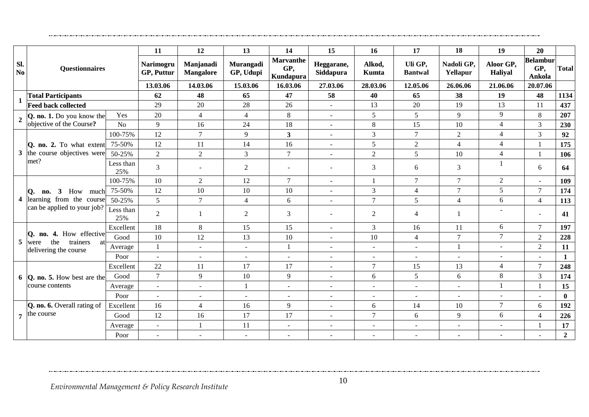|                 |                                                                                                   |                  | 11                      | 12                            | 13                            | 14                                          | 15                       | 16                       | 17                        | 18                       | 19                          | 20                               |                |
|-----------------|---------------------------------------------------------------------------------------------------|------------------|-------------------------|-------------------------------|-------------------------------|---------------------------------------------|--------------------------|--------------------------|---------------------------|--------------------------|-----------------------------|----------------------------------|----------------|
| Sl.<br>No       | Questionnaires                                                                                    |                  | Narimogru<br>GP, Puttur | Manjanadi<br><b>Mangalore</b> | <b>Murangadi</b><br>GP, Udupi | <b>Marvanthe</b><br>GP,<br><b>Kundapura</b> | Heggarane,<br>Siddapura  | Alkod,<br>Kumta          | Uli GP,<br><b>Bantwal</b> | Nadoli GP,<br>Yellapur   | Aloor GP,<br><b>Haliyal</b> | <b>Belambur</b><br>GP,<br>Ankola | Total          |
|                 |                                                                                                   |                  | 13.03.06                | 14.03.06                      | 15.03.06                      | 16.03.06                                    | 27.03.06                 | 28.03.06                 | 12.05.06                  | 26.06.06                 | 21.06.06                    | 20.07.06                         |                |
| $\mathbf 1$     | <b>Total Participants</b>                                                                         |                  | 62                      | 48                            | 65                            | 47                                          | 58                       | 40                       | 65                        | 38                       | 19                          | 48                               | 1134           |
|                 | <b>Feed back collected</b>                                                                        |                  | 29                      | $20\,$                        | 28                            | 26                                          | $\blacksquare$           | 13                       | 20                        | 19                       | 13                          | 11                               | 437            |
| $2^{\circ}$     | Q. no. 1. Do you know the                                                                         | Yes              | 20                      | $\overline{4}$                | $\overline{4}$                | $\,8\,$                                     | $\sim$                   | 5 <sup>5</sup>           | 5                         | 9                        | 9                           | 8                                | 207            |
|                 | objective of the Course?                                                                          | N <sub>o</sub>   | 9                       | 16                            | 24                            | 18                                          | $\overline{\phantom{a}}$ | 8                        | 15                        | 10                       | 4                           | 3                                | 230            |
|                 |                                                                                                   | 100-75%          | 12                      | $\tau$                        | 9                             | $\mathbf{3}$                                | $\sim$                   | 3                        | $\overline{7}$            | 2                        | 4                           | 3                                | 92             |
|                 | Q. no. 2. To what extent                                                                          | 75-50%           | 12                      | 11                            | 14                            | 16                                          | $\sim$                   | 5                        | $\overline{2}$            | $\overline{4}$           | $\overline{4}$              |                                  | 175            |
|                 | 3 the course objectives were                                                                      | 50-25%           | $\overline{2}$          | $\overline{2}$                | 3                             | $\overline{7}$                              | $\blacksquare$           | $\overline{2}$           | 5                         | 10                       | $\overline{4}$              |                                  | 106            |
|                 | met?                                                                                              | Less than<br>25% | $\overline{3}$          |                               | $\overline{2}$                | $\overline{\phantom{a}}$                    | ۰                        | 3                        | 6                         | 3                        |                             | 6                                | 64             |
|                 | How<br>3<br>O.<br>much<br>no.<br>4 learning from the course<br>can be applied to your job?<br>25% | 100-75%          | 10                      | $\overline{2}$                | 12                            | $\overline{7}$                              | $\overline{a}$           |                          | $\overline{7}$            | $\tau$                   | $\overline{2}$              | $\blacksquare$                   | 109            |
|                 |                                                                                                   | 75-50%           | 12                      | 10                            | 10                            | 10                                          | $\blacksquare$           | 3                        | $\overline{4}$            | $\tau$                   | 5                           | $\tau$                           | 174            |
|                 |                                                                                                   | 50-25%           | 5                       | $\tau$                        | $\overline{4}$                | 6                                           | $\sim$                   | $\tau$                   | 5                         | $\overline{4}$           | 6                           | $\overline{4}$                   | 113            |
|                 |                                                                                                   | Less than        | $\overline{2}$          | 1                             | $\overline{2}$                | 3                                           | $\blacksquare$           | $\overline{2}$           | 4                         | $\overline{1}$           |                             | $\sim$                           | 41             |
|                 |                                                                                                   | Excellent        | 18                      | 8                             | 15                            | 15                                          | $\blacksquare$           | $\mathfrak{Z}$           | 16                        | 11                       | 6                           | $\tau$                           | 197            |
| $5\overline{)}$ | 4. How effective<br>no.<br>the                                                                    | Good             | 10                      | 12                            | 13                            | 10                                          | $\overline{a}$           | 10                       | $\overline{4}$            | $\tau$                   | $\tau$                      | 2                                | 228            |
|                 | trainers<br>were<br>-at<br>delivering the course                                                  | Average          | 1                       | $\sim$                        | $\sim$                        | 1                                           | $\blacksquare$           | $\sim$                   | $\sim$                    | $\mathbf{1}$             | $\sim$                      | 2                                | 11             |
|                 |                                                                                                   | Poor             | $\sim$                  |                               | ٠                             |                                             | $\overline{\phantom{a}}$ | $\overline{\phantom{a}}$ | $\overline{\phantom{a}}$  | $\sim$                   |                             | $\overline{\phantom{a}}$         | 1              |
|                 |                                                                                                   | Excellent        | 22                      | 11                            | 17                            | 17                                          | $\sim$                   | $\tau$                   | 15                        | 13                       | $\overline{4}$              | $\tau$                           | 248            |
|                 | $\bf{6}$ <b>Q. no. 5.</b> How best are the                                                        | Good             | $\overline{7}$          | $\mathbf Q$                   | 10                            | 9                                           | $\sim$                   | 6                        | 5                         | 6                        | 8                           | $\overline{3}$                   | 174            |
|                 | course contents                                                                                   | Average          | $\sim$                  | $\overline{\phantom{a}}$      |                               | $\overline{\phantom{a}}$                    | $\blacksquare$           | $\overline{\phantom{a}}$ | $\overline{\phantom{a}}$  | $\overline{\phantom{a}}$ |                             |                                  | 15             |
|                 |                                                                                                   | Poor             | $\sim$                  | $\overline{\phantom{a}}$      | $\overline{\phantom{a}}$      | $\overline{\phantom{a}}$                    | $\overline{\phantom{a}}$ | $\overline{\phantom{a}}$ | $\overline{\phantom{a}}$  | $\sim$                   |                             | $\sim$                           | $\bf{0}$       |
|                 | Q. no. 6. Overall rating of                                                                       | Excellent        | 16                      | 4                             | 16                            | 9                                           | $\overline{\phantom{a}}$ | 6                        | 14                        | 10                       | $\tau$                      | 6                                | 192            |
|                 | $7$ the course                                                                                    | Good             | 12                      | 16                            | 17                            | 17                                          | $\blacksquare$           | $\tau$                   | 6                         | 9                        | 6                           | $\overline{4}$                   | 226            |
|                 |                                                                                                   | Average          | $\sim$                  |                               | 11                            | $\sim$                                      | $\sim$                   | $\overline{\phantom{a}}$ | $\overline{\phantom{a}}$  | $\overline{a}$           |                             |                                  | 17             |
|                 |                                                                                                   | Poor             | $\sim$                  |                               | $\sim$                        | $\sim$                                      | $\overline{a}$           |                          | $\sim$                    | $\overline{\phantom{a}}$ |                             | $\overline{a}$                   | $\overline{2}$ |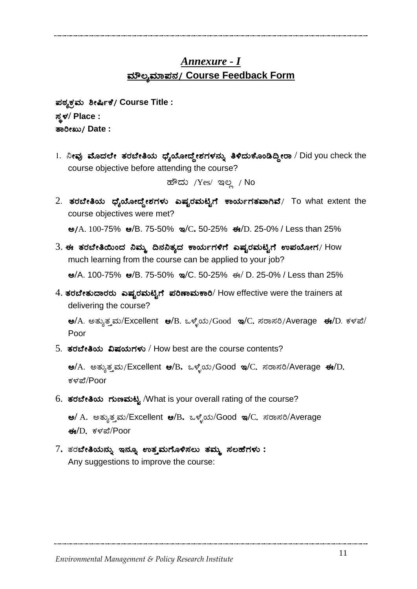# *Annexure - I* <u>ಮೌಲ್ಯಮಾಪನ/ Course Feedback Form</u>

¥ÀoÀåPÀæªÀÄ ²Ã¶ðPÉ/ **Course Title :**  ¸ÀܼÀ**/ Place :** vÁjÃRÄ/ **Date :**

1. ನೀವು ಮೊದಲೇ ತರಬೇತಿಯ ಧ್ಯೆಯೋದ್ದೇಶಗಳನ್ನು ತಿಳಿದುಕೊಂಡಿದ್ದೀರಾ / Did you check the course objective before attending the course?

ಹೌದು /Yes/ ಇಲ್ಲ / No

 $2.$  ತರಬೇತಿಯ ಧ್ಯೆಯೋದ್ದೇಶಗಳು ಎಷ್ಟರಮಟ್ಟಿಗೆ ಕಾರ್ಯಗತವಾಗಿವೆ/ To what extent the course objectives were met?

C/A. 100-75% D**/**B. 75-50% E**/**C**.** 50-25% F**/**D. 25-0% / Less than 25%

- $3.$  ಈ ತರಬೇತಿಯಿಂದ ನಿಮ್ಮ ದಿನನಿತ್ಯದ ಕಾರ್ಯಗಳಿಗೆ ಎಷ್ಟರಮಟ್ಟಿಗೆ ಉಪಯೋಗ/  ${\sf How}$ much learning from the course can be applied to your job?  $\omega$ /A. 100-75%  $\omega$ /B. 75-50%  $\omega$ /C. 50-25% ಈ/ D. 25-0% / Less than 25%
- $4.$  ತರಬೇತುದಾರರು ಎಷ್ಟರಮಟ್ಟಿಗೆ ಪರಿಣಾಮಕಾರಿ/ How effective were the trainers at delivering the course?

 $\Theta/A$ . ಅತ್ಯುತ್ತಮ/Excellent  $\Theta/B$ . ಒಳ್ಳೆಯ/Good  $\Theta/C$ . ಸರಾಸರಿ/Average  $\Theta/D$ . ಕಳಪೆ/ Poor

 $5.$  ತರಬೇತಿಯ ವಿಷಯಗಳು / How best are the course contents?

 $\mathbf{e}/\mathrm{A}$ . ಅತ್ಯುತ್ತಮ/Excellent  $\mathbf{e}/\mathrm{B}$ . ಒಳ್ಳೆಯ/Good ಇ/C. ಸರಾಸರಿ/Average ಈ/D. ಕಳಪೆ/Poor

6.  $\sigma$ ರಬೇತಿಯ ಗುಣಮಟ್ಟ /What is your overall rating of the course?

 $\omega$ / A. ಅತ್ಯುತ್ತಮ/Excellent  $\omega$ /B. ಒಳ್ಳೆಯ/Good ಇ/C. ಸರಾಸರಿ/Average  $\frac{4}{9}$ D. ಕಳಪೆ/Poor

 $7$ . ತರಬೇತಿಯನ್ನು ಇನ್ನೂ ಉತ್ತಮಗೊಳಿಸಲು ತಮ್ಮ ಸಲಹೆಗಳು : Any suggestions to improve the course: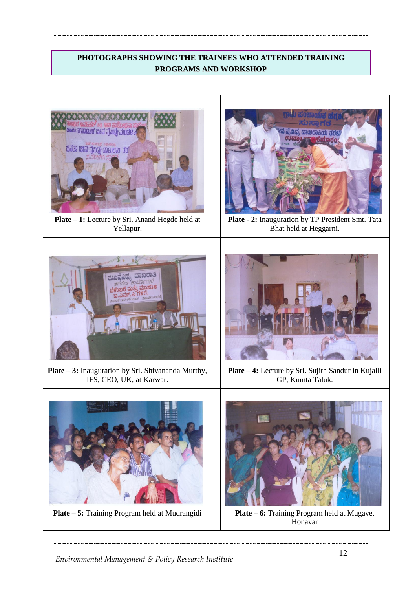## **PHOTOGRAPHS SHOWING THE TRAINEES WHO ATTENDED TRAINING PROGRAMS AND WORKSHOP**



**Plate – 1:** Lecture by Sri. Anand Hegde held at Yellapur.



**Plate - 2:** Inauguration by TP President Smt. Tata Bhat held at Heggarni.



**Plate – 3:** Inauguration by Sri. Shivananda Murthy, IFS, CEO, UK, at Karwar.



**Plate – 4:** Lecture by Sri. Sujith Sandur in Kujalli GP, Kumta Taluk.



**Plate – 5:** Training Program held at Mudrangidi **Plate – 6:** Training Program held at Mugave,



Honavar